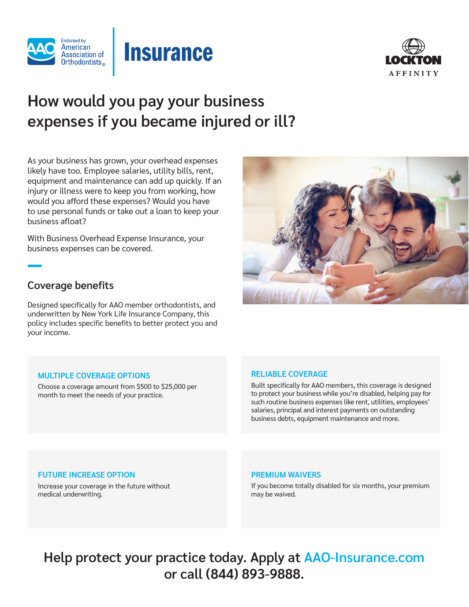





# **How would you pay your business expenses if you became injured or ill?**

As your business has grown, your overhead expenses likely have too. Employee salaries, utility bills, rent, equipment and maintenance can add up quickly. If an injury or illness were to keep you from working, how would you afford these expenses? Would you have to use personal funds or take out a loan to keep your business afloat?

With Business Overhead Expense Insurance, your business expenses can be covered.

## **Coverage benefits**

Designed specifically for AAO member orthodontists, and underwritten by New York Life Insurance Company, this policy includes specific benefits to better protect you and your income.



## **MULTIPLE COVERAGE OPTIONS**

Choose a coverage amount from \$500 to \$25,000 per month to meet the needs of your practice.

## **RELIABLE COVERAGE**

Built specifically for AAO members, this coverage is designed to protect your business while you're disabled, helping pay for such routine business expenses like rent, utilities, employees' salaries, principal and interest payments on outstanding business debts, equipment maintenance and more.

## **FUTURE INCREASE OPTION**

Increase your coverage in the future without medical underwriting.

#### **PREMIUM WAIVERS**

If you become totally disabled for six months, your premium may be waived.

**Help protect your practice today. Apply at AAO-Insurance.com or call (844) 893-9888.**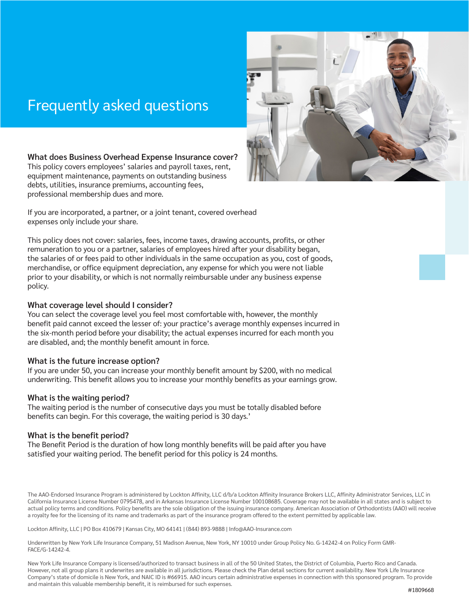# Frequently asked questions



## **What does Business Overhead Expense Insurance cover?**

This policy covers employees' salaries and payroll taxes, rent, equipment maintenance, payments on outstanding business debts, utilities, insurance premiums, accounting fees, professional membership dues and more.

If you are incorporated, a partner, or a joint tenant, covered overhead expenses only include your share.

This policy does not cover: salaries, fees, income taxes, drawing accounts, profits, or other remuneration to you or a partner, salaries of employees hired after your disability began, the salaries of or fees paid to other individuals in the same occupation as you, cost of goods, merchandise, or office equipment depreciation, any expense for which you were not liable prior to your disability, or which is not normally reimbursable under any business expense policy.

### **What coverage level should I consider?**

You can select the coverage level you feel most comfortable with, however, the monthly benefit paid cannot exceed the lesser of: your practice's average monthly expenses incurred in the six-month period before your disability; the actual expenses incurred for each month you are disabled, and; the monthly benefit amount in force.

## **What is the future increase option?**

If you are under 50, you can increase your monthly benefit amount by \$200, with no medical underwriting. This benefit allows you to increase your monthly benefits as your earnings grow.

## **What is the waiting period?**

The waiting period is the number of consecutive days you must be totally disabled before benefits can begin. For this coverage, the waiting period is 30 days.'

## **What is the benefit period?**

The Benefit Period is the duration of how long monthly benefits will be paid after you have satisfied your waiting period. The benefit period for this policy is 24 months.

The AAO-Endorsed Insurance Program is administered by Lockton Affinity, LLC d/b/a Lockton Affinity Insurance Brokers LLC, Affinity Administrator Services, LLC in California Insurance License Number 0795478, and in Arkansas Insurance License Number 100108685. Coverage may not be available in all states and is subject to actual policy terms and conditions. Policy benefits are the sole obligation of the issuing insurance company. American Association of Orthodontists (AAO) will receive a royalty fee for the licensing of its name and trademarks as part of the insurance program offered to the extent permitted by applicable law.

Lockton Affinity, LLC | PO Box 410679 | Kansas City, MO 64141 | (844) 893-9888 | Info@AAO-Insurance.com

Underwritten by New York Life Insurance Company, 51 Madison Avenue, New York, NY 10010 under Group Policy No. G-14242-4 on Policy Form GMR-FACE/G-14242-4.

New York Life Insurance Company is licensed/authorized to transact business in all of the 50 United States, the District of Columbia, Puerto Rico and Canada. However, not all group plans it underwrites are available in all jurisdictions. Please check the Plan detail sections for current availability. New York Life Insurance Company's state of domicile is New York, and NAIC ID is #66915. AAO incurs certain administrative expenses in connection with this sponsored program. To provide and maintain this valuable membership benefit, it is reimbursed for such expenses.